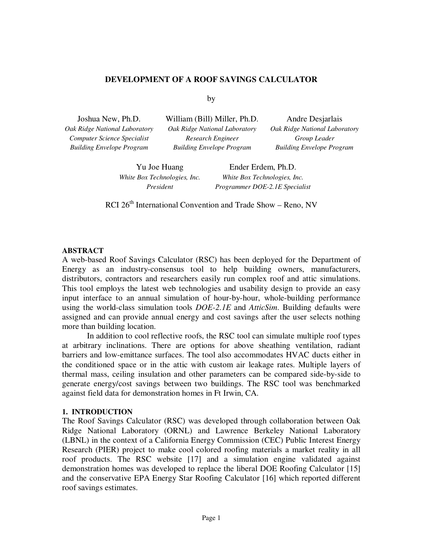#### **DEVELOPMENT OF A ROOF SAVINGS CALCULATOR**

by

*Computer Science Specialist Building Envelope Program* 

*Oak Ridge National Laboratory Oak Ridge National Laboratory Oak Ridge National Laboratory Research Engineer Building Envelope Program* 

Joshua New, Ph.D. William (Bill) Miller, Ph.D. Andre Desjarlais *Group Leader Building Envelope Program* 

Yu Joe Huang Ender Erdem, Ph.D. *White Box Technologies, Inc. White Box Technologies, Inc. President Programmer DOE-2.1E Specialist* 

RCI  $26<sup>th</sup>$  International Convention and Trade Show – Reno, NV

#### **ABSTRACT**

A web-based Roof Savings Calculator (RSC) has been deployed for the Department of Energy as an industry-consensus tool to help building owners, manufacturers, distributors, contractors and researchers easily run complex roof and attic simulations. This tool employs the latest web technologies and usability design to provide an easy input interface to an annual simulation of hour-by-hour, whole-building performance using the world-class simulation tools *DOE-2.1E* and *AtticSim*. Building defaults were assigned and can provide annual energy and cost savings after the user selects nothing more than building location.

In addition to cool reflective roofs, the RSC tool can simulate multiple roof types at arbitrary inclinations. There are options for above sheathing ventilation, radiant barriers and low-emittance surfaces. The tool also accommodates HVAC ducts either in the conditioned space or in the attic with custom air leakage rates. Multiple layers of thermal mass, ceiling insulation and other parameters can be compared side-by-side to generate energy/cost savings between two buildings. The RSC tool was benchmarked against field data for demonstration homes in Ft Irwin, CA.

#### **1. INTRODUCTION**

The Roof Savings Calculator (RSC) was developed through collaboration between Oak Ridge National Laboratory (ORNL) and Lawrence Berkeley National Laboratory (LBNL) in the context of a California Energy Commission (CEC) Public Interest Energy Research (PIER) project to make cool colored roofing materials a market reality in all roof products. The RSC website [17] and a simulation engine validated against demonstration homes was developed to replace the liberal DOE Roofing Calculator [15] and the conservative EPA Energy Star Roofing Calculator [16] which reported different roof savings estimates.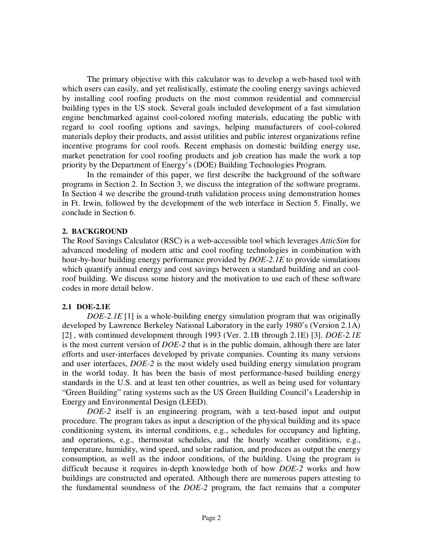The primary objective with this calculator was to develop a web-based tool with which users can easily, and yet realistically, estimate the cooling energy savings achieved by installing cool roofing products on the most common residential and commercial building types in the US stock. Several goals included development of a fast simulation engine benchmarked against cool-colored roofing materials, educating the public with regard to cool roofing options and savings, helping manufacturers of cool-colored materials deploy their products, and assist utilities and public interest organizations refine incentive programs for cool roofs. Recent emphasis on domestic building energy use, market penetration for cool roofing products and job creation has made the work a top priority by the Department of Energy's (DOE) Building Technologies Program.

 In the remainder of this paper, we first describe the background of the software programs in Section 2. In Section 3, we discuss the integration of the software programs. In Section 4 we describe the ground-truth validation process using demonstration homes in Ft. Irwin, followed by the development of the web interface in Section 5. Finally, we conclude in Section 6.

# **2. BACKGROUND**

The Roof Savings Calculator (RSC) is a web-accessible tool which leverages *AtticSim* for advanced modeling of modern attic and cool roofing technologies in combination with hour-by-hour building energy performance provided by *DOE-2.1E* to provide simulations which quantify annual energy and cost savings between a standard building and an coolroof building. We discuss some history and the motivation to use each of these software codes in more detail below.

# **2.1 DOE-2.1E**

*DOE-2.1E* [1] is a whole-building energy simulation program that was originally developed by Lawrence Berkeley National Laboratory in the early 1980's (Version 2.1A) [2] , with continued development through 1993 (Ver. 2.1B through 2.1E) [3]. *DOE-2.1E* is the most current version of *DOE-2* that is in the public domain, although there are later efforts and user-interfaces developed by private companies. Counting its many versions and user interfaces, *DOE-2* is the most widely used building energy simulation program in the world today. It has been the basis of most performance-based building energy standards in the U.S. and at least ten other countries, as well as being used for voluntary "Green Building" rating systems such as the US Green Building Council's Leadership in Energy and Environmental Design (LEED).

*DOE-2* itself is an engineering program, with a text-based input and output procedure. The program takes as input a description of the physical building and its space conditioning system, its internal conditions, e.g., schedules for occupancy and lighting, and operations, e.g., thermostat schedules, and the hourly weather conditions, e.g., temperature, humidity, wind speed, and solar radiation, and produces as output the energy consumption, as well as the indoor conditions, of the building. Using the program is difficult because it requires in-depth knowledge both of how *DOE-2* works and how buildings are constructed and operated. Although there are numerous papers attesting to the fundamental soundness of the *DOE-2* program, the fact remains that a computer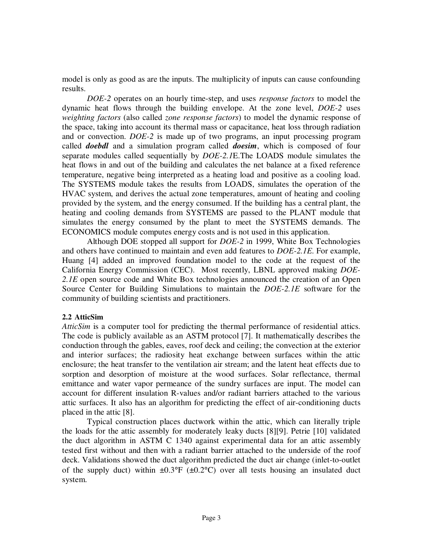model is only as good as are the inputs. The multiplicity of inputs can cause confounding results.

*DOE-2* operates on an hourly time-step, and uses *response factors* to model the dynamic heat flows through the building envelope. At the zone level, *DOE-2* uses *weighting factors* (also called *zone response factors*) to model the dynamic response of the space, taking into account its thermal mass or capacitance, heat loss through radiation and or convection. *DOE-2* is made up of two programs, an input processing program called *doebdl* and a simulation program called *doesim*, which is composed of four separate modules called sequentially by *DOE-2.1*E.The LOADS module simulates the heat flows in and out of the building and calculates the net balance at a fixed reference temperature, negative being interpreted as a heating load and positive as a cooling load. The SYSTEMS module takes the results from LOADS, simulates the operation of the HVAC system, and derives the actual zone temperatures, amount of heating and cooling provided by the system, and the energy consumed. If the building has a central plant, the heating and cooling demands from SYSTEMS are passed to the PLANT module that simulates the energy consumed by the plant to meet the SYSTEMS demands. The ECONOMICS module computes energy costs and is not used in this application.

Although DOE stopped all support for *DOE-2* in 1999, White Box Technologies and others have continued to maintain and even add features to *DOE-2.1E*. For example, Huang [4] added an improved foundation model to the code at the request of the California Energy Commission (CEC). Most recently, LBNL approved making *DOE-*2.1E open source code and White Box technologies announced the creation of an Open Source Center for Building Simulations to maintain the *DOE-2.1E* software for the community of building scientists and practitioners.

# **2.2 AtticSim**

*AtticSim* is a computer tool for predicting the thermal performance of residential attics. The code is publicly available as an ASTM protocol [7]. It mathematically describes the conduction through the gables, eaves, roof deck and ceiling; the convection at the exterior and interior surfaces; the radiosity heat exchange between surfaces within the attic enclosure; the heat transfer to the ventilation air stream; and the latent heat effects due to sorption and desorption of moisture at the wood surfaces. Solar reflectance, thermal emittance and water vapor permeance of the sundry surfaces are input. The model can account for different insulation R-values and/or radiant barriers attached to the various attic surfaces. It also has an algorithm for predicting the effect of air-conditioning ducts placed in the attic [8].

Typical construction places ductwork within the attic, which can literally triple the loads for the attic assembly for moderately leaky ducts [8][9]. Petrie [10] validated the duct algorithm in ASTM C 1340 against experimental data for an attic assembly tested first without and then with a radiant barrier attached to the underside of the roof deck. Validations showed the duct algorithm predicted the duct air change (inlet-to-outlet of the supply duct) within  $\pm 0.3^{\circ}F$  ( $\pm 0.2^{\circ}C$ ) over all tests housing an insulated duct system.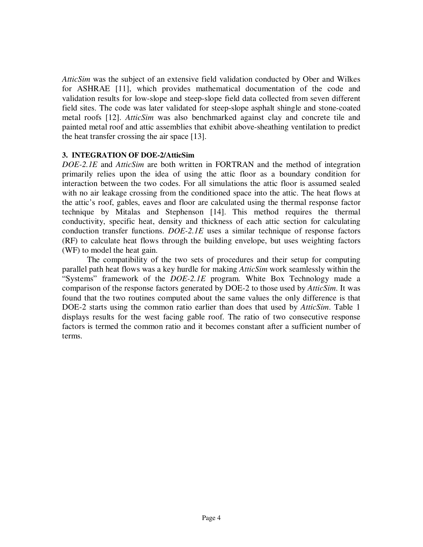*AtticSim* was the subject of an extensive field validation conducted by Ober and Wilkes for ASHRAE [11], which provides mathematical documentation of the code and validation results for low-slope and steep-slope field data collected from seven different field sites. The code was later validated for steep-slope asphalt shingle and stone-coated metal roofs [12]. *AtticSim* was also benchmarked against clay and concrete tile and painted metal roof and attic assemblies that exhibit above-sheathing ventilation to predict the heat transfer crossing the air space [13].

## **3. INTEGRATION OF DOE-2/AtticSim**

*DOE-2.1E* and *AtticSim* are both written in FORTRAN and the method of integration primarily relies upon the idea of using the attic floor as a boundary condition for interaction between the two codes. For all simulations the attic floor is assumed sealed with no air leakage crossing from the conditioned space into the attic. The heat flows at the attic's roof, gables, eaves and floor are calculated using the thermal response factor technique by Mitalas and Stephenson [14]. This method requires the thermal conductivity, specific heat, density and thickness of each attic section for calculating conduction transfer functions. *DOE-2.1E* uses a similar technique of response factors (RF) to calculate heat flows through the building envelope, but uses weighting factors (WF) to model the heat gain.

The compatibility of the two sets of procedures and their setup for computing parallel path heat flows was a key hurdle for making *AtticSim* work seamlessly within the "Systems" framework of the *DOE-2.1E* program. White Box Technology made a comparison of the response factors generated by DOE-2 to those used by *AtticSim*. It was found that the two routines computed about the same values the only difference is that DOE-2 starts using the common ratio earlier than does that used by *AtticSim*. Table 1 displays results for the west facing gable roof. The ratio of two consecutive response factors is termed the common ratio and it becomes constant after a sufficient number of terms.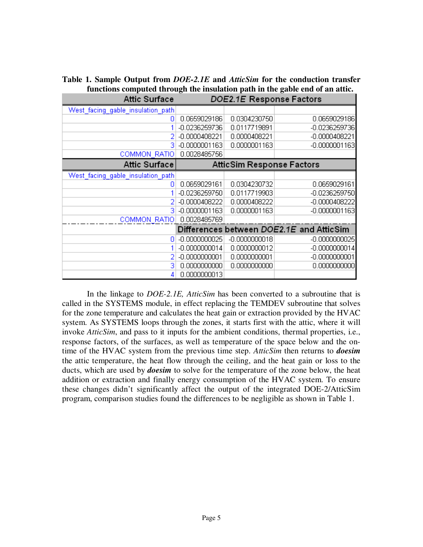|                                                                              |               | Table 1. Sample Output from DOE-2.1E and AtticSim for the conduction transfer |  |  |
|------------------------------------------------------------------------------|---------------|-------------------------------------------------------------------------------|--|--|
| functions computed through the insulation path in the gable end of an attic. |               |                                                                               |  |  |
|                                                                              | $A + \lambda$ | <b>DOE? 4E Despañol Esclava</b>                                               |  |  |

| Allic Suriace                     |                                  | DUEZ IE RESPOIISE FACIOIS |                                          |  |
|-----------------------------------|----------------------------------|---------------------------|------------------------------------------|--|
| West_facing_gable_insulation_path |                                  |                           |                                          |  |
| ٥                                 | 0.0659029186                     | 0.0304230750              | 0.0659029186                             |  |
|                                   | -0.0236259736                    | 0.0117719891              | -0.0236259736                            |  |
|                                   | -0.0000408221                    | 0.0000408221              | -0.0000408221                            |  |
| З                                 | $-0.0000001163$                  | 0.0000001163              | -0.0000001163                            |  |
| <b>COMMON RATIO</b>               | 0.0028485756                     |                           |                                          |  |
| Attic Surface                     | <b>AtticSim Response Factors</b> |                           |                                          |  |
| West facing gable insulation path |                                  |                           |                                          |  |
| 0                                 | 0.0659029161                     | 0.0304230732              | 0.0659029161                             |  |
|                                   | -0.0236259750                    | 0.0117719903              | -0.0236259750                            |  |
|                                   | $-0.0000408222$                  | 0.0000408222              | $-0.0000408222$                          |  |
| 3                                 | $-0.0000001163$                  | 0.0000001163              | $-0.0000001163$                          |  |
| <b>COMMON RATIO</b>               | 0.0028485769                     |                           |                                          |  |
|                                   |                                  |                           | Differences between DOE2.1E and AtticSim |  |
| 0                                 | $-0.0000000025$                  | $-0.0000000018$           | $-0.0000000025$                          |  |
|                                   | $-0.0000000014$                  | 0.0000000012              | $-0.0000000014$                          |  |
|                                   | $-0.0000000001$                  | 0.0000000001              | $-0.0000000001$                          |  |
| 3                                 | 0.0000000000                     | 0.0000000000              | 0.0000000000                             |  |
| 4                                 | 0.0000000013                     |                           |                                          |  |

In the linkage to *DOE-2.1E, AtticSim* has been converted to a subroutine that is called in the SYSTEMS module, in effect replacing the TEMDEV subroutine that solves for the zone temperature and calculates the heat gain or extraction provided by the HVAC system. As SYSTEMS loops through the zones, it starts first with the attic, where it will invoke *AtticSim*, and pass to it inputs for the ambient conditions, thermal properties, i.e., response factors, of the surfaces, as well as temperature of the space below and the ontime of the HVAC system from the previous time step. *AtticSim* then returns to *doesim* the attic temperature, the heat flow through the ceiling, and the heat gain or loss to the ducts, which are used by *doesim* to solve for the temperature of the zone below, the heat addition or extraction and finally energy consumption of the HVAC system. To ensure these changes didn't significantly affect the output of the integrated DOE-2/AtticSim program, comparison studies found the differences to be negligible as shown in Table 1.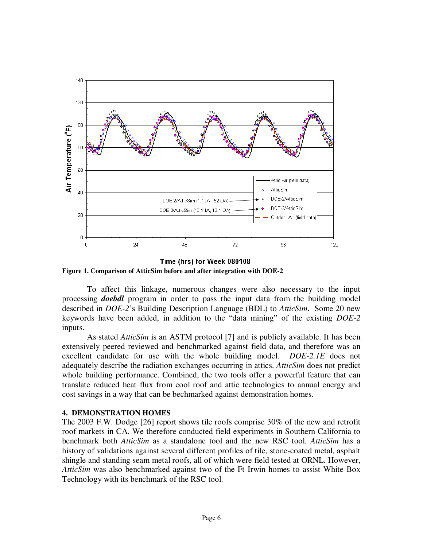

Time (hrs) for Week 080108 **Figure 1. Comparison of AtticSim before and after integration with DOE-2** 

To affect this linkage, numerous changes were also necessary to the input processing *doebdl* program in order to pass the input data from the building model described in *DOE-2*'s Building Description Language (BDL) to *AtticSim*. Some 20 new keywords have been added, in addition to the "data mining" of the existing *DOE-2* inputs.

As stated *AtticSim* is an ASTM protocol [7] and is publicly available. It has been extensively peered reviewed and benchmarked against field data, and therefore was an excellent candidate for use with the whole building model. *DOE-2.1E* does not adequately describe the radiation exchanges occurring in attics. *AtticSim* does not predict whole building performance. Combined, the two tools offer a powerful feature that can translate reduced heat flux from cool roof and attic technologies to annual energy and cost savings in a way that can be bechmarked against demonstration homes.

#### **4. DEMONSTRATION HOMES**

The 2003 F.W. Dodge [26] report shows tile roofs comprise 30% of the new and retrofit roof markets in CA. We therefore conducted field experiments in Southern California to benchmark both *AtticSim* as a standalone tool and the new RSC tool. *AtticSim* has a history of validations against several different profiles of tile, stone-coated metal, asphalt shingle and standing seam metal roofs, all of which were field tested at ORNL. However, *AtticSim* was also benchmarked against two of the Ft Irwin homes to assist White Box Technology with its benchmark of the RSC tool.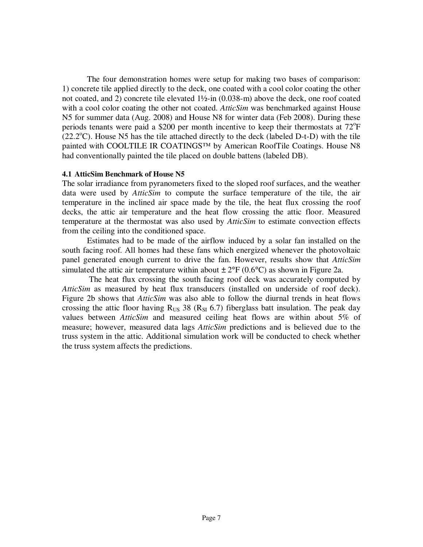The four demonstration homes were setup for making two bases of comparison: 1) concrete tile applied directly to the deck, one coated with a cool color coating the other not coated, and 2) concrete tile elevated 1½-in (0.038-m) above the deck, one roof coated with a cool color coating the other not coated. *AtticSim* was benchmarked against House N5 for summer data (Aug. 2008) and House N8 for winter data (Feb 2008). During these periods tenants were paid a \$200 per month incentive to keep their thermostats at  $72^{\circ}$ F  $(22.2^{\circ}C)$ . House N5 has the tile attached directly to the deck (labeled D-t-D) with the tile painted with COOLTILE IR COATINGS™ by American RoofTile Coatings. House N8 had conventionally painted the tile placed on double battens (labeled DB).

#### **4.1 AtticSim Benchmark of House N5**

The solar irradiance from pyranometers fixed to the sloped roof surfaces, and the weather data were used by *AtticSim* to compute the surface temperature of the tile, the air temperature in the inclined air space made by the tile, the heat flux crossing the roof decks, the attic air temperature and the heat flow crossing the attic floor. Measured temperature at the thermostat was also used by *AtticSim* to estimate convection effects from the ceiling into the conditioned space.

Estimates had to be made of the airflow induced by a solar fan installed on the south facing roof. All homes had these fans which energized whenever the photovoltaic panel generated enough current to drive the fan. However, results show that *AtticSim* simulated the attic air temperature within about  $\pm 2^{\circ}F(0.6^{\circ}C)$  as shown in Figure 2a.

 The heat flux crossing the south facing roof deck was accurately computed by *AtticSim* as measured by heat flux transducers (installed on underside of roof deck). Figure 2b shows that *AtticSim* was also able to follow the diurnal trends in heat flows crossing the attic floor having  $R_{US}$  38 ( $R_{SI}$  6.7) fiberglass batt insulation. The peak day values between *AtticSim* and measured ceiling heat flows are within about 5% of measure; however, measured data lags *AtticSim* predictions and is believed due to the truss system in the attic. Additional simulation work will be conducted to check whether the truss system affects the predictions.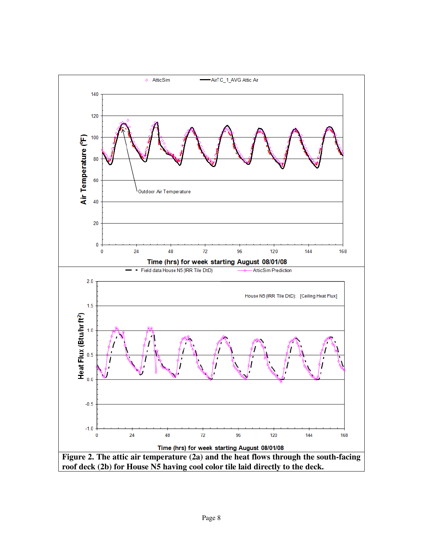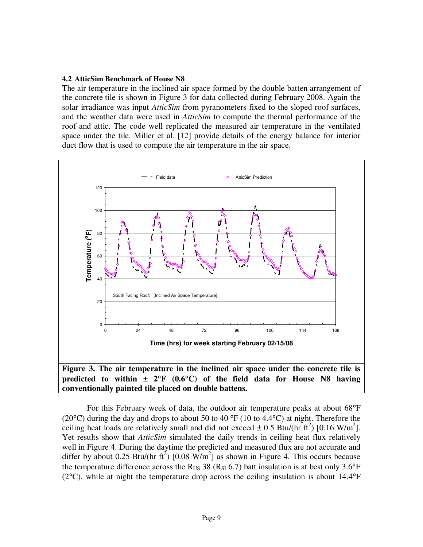#### **4.2 AtticSim Benchmark of House N8**

The air temperature in the inclined air space formed by the double batten arrangement of the concrete tile is shown in Figure 3 for data collected during February 2008. Again the solar irradiance was input *AtticSim* from pyranometers fixed to the sloped roof surfaces, and the weather data were used in *AtticSim* to compute the thermal performance of the roof and attic. The code well replicated the measured air temperature in the ventilated space under the tile. Miller et al. [12] provide details of the energy balance for interior duct flow that is used to compute the air temperature in the air space.



For this February week of data, the outdoor air temperature peaks at about 68°F (20 $^{\circ}$ C) during the day and drops to about 50 to 40  $^{\circ}$ F (10 to 4.4 $^{\circ}$ C) at night. Therefore the ceiling heat loads are relatively small and did not exceed  $\pm$  0.5 Btu/(hr ft<sup>2</sup>) [0.16 W/m<sup>2</sup>]. Yet results show that *AtticSim* simulated the daily trends in ceiling heat flux relatively well in Figure 4. During the daytime the predicted and measured flux are not accurate and differ by about 0.25 Btu/(hr ft<sup>2</sup>) [0.08 W/m<sup>2</sup>] as shown in Figure 4. This occurs because the temperature difference across the R<sub>US</sub> 38 (R<sub>SI</sub> 6.7) batt insulation is at best only 3.6°F  $(2^{\circ}C)$ , while at night the temperature drop across the ceiling insulation is about 14.4 $^{\circ}F$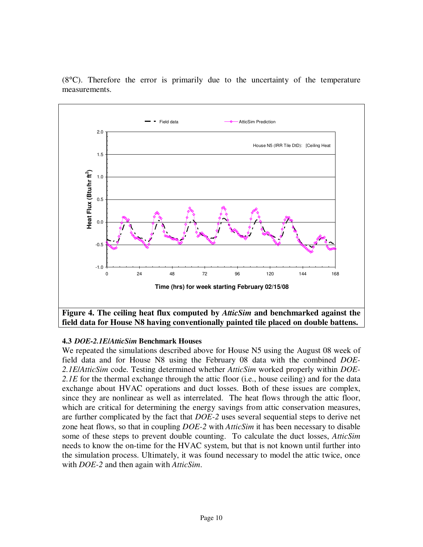

(8°C). Therefore the error is primarily due to the uncertainty of the temperature measurements.

# **4.3** *DOE-2.1E***/***AtticSim* **Benchmark Houses**

We repeated the simulations described above for House N5 using the August 08 week of field data and for House N8 using the February 08 data with the combined *DOE-2.1E*/*AtticSim* code. Testing determined whether *AtticSim* worked properly within *DOE-2.1E* for the thermal exchange through the attic floor (i.e., house ceiling) and for the data exchange about HVAC operations and duct losses. Both of these issues are complex, since they are nonlinear as well as interrelated. The heat flows through the attic floor, which are critical for determining the energy savings from attic conservation measures, are further complicated by the fact that *DOE-2* uses several sequential steps to derive net zone heat flows, so that in coupling *DOE-2* with *AtticSim* it has been necessary to disable some of these steps to prevent double counting. To calculate the duct losses, *AtticSim* needs to know the on-time for the HVAC system, but that is not known until further into the simulation process. Ultimately, it was found necessary to model the attic twice, once with *DOE-2* and then again with *AtticSim*.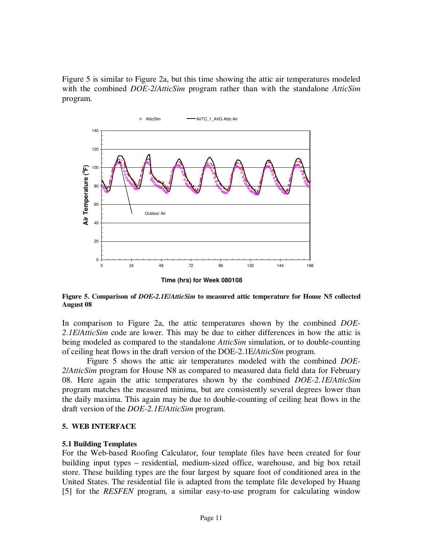Figure 5 is similar to Figure 2a, but this time showing the attic air temperatures modeled with the combined *DOE-2*/*AtticSim* program rather than with the standalone *AtticSim* program.



**Figure 5. Comparison of** *DOE-2.1E***/***AtticSim* **to measured attic temperature for House N5 collected August 08** 

In comparison to Figure 2a, the attic temperatures shown by the combined *DOE-2.1E*/*AtticSim* code are lower. This may be due to either differences in how the attic is being modeled as compared to the standalone *AtticSim* simulation, or to double-counting of ceiling heat flows in the draft version of the DOE-2.1E/*AtticSim* program.

Figure 5 shows the attic air temperatures modeled with the combined *DOE-2*/*AtticSim* program for House N8 as compared to measured data field data for February 08. Here again the attic temperatures shown by the combined *DOE-2.1E*/*AtticSim* program matches the measured minima, but are consistently several degrees lower than the daily maxima. This again may be due to double-counting of ceiling heat flows in the draft version of the *DOE-2.1E*/*AtticSim* program.

#### **5. WEB INTERFACE**

#### **5.1 Building Templates**

For the Web-based Roofing Calculator, four template files have been created for four building input types – residential, medium-sized office, warehouse, and big box retail store. These building types are the four largest by square foot of conditioned area in the United States. The residential file is adapted from the template file developed by Huang [5] for the *RESFEN* program, a similar easy-to-use program for calculating window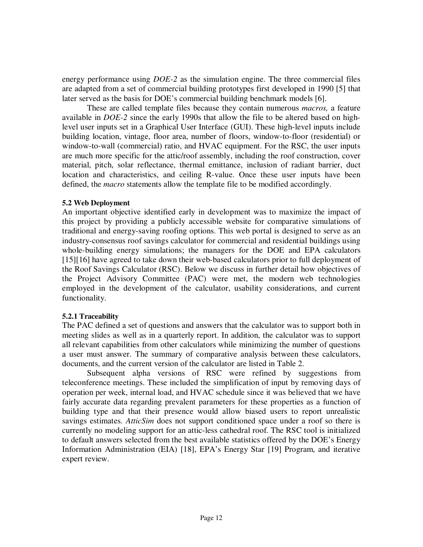energy performance using *DOE-2* as the simulation engine. The three commercial files are adapted from a set of commercial building prototypes first developed in 1990 [5] that later served as the basis for DOE's commercial building benchmark models [6].

These are called template files because they contain numerous *macros,* a feature available in *DOE-2* since the early 1990s that allow the file to be altered based on highlevel user inputs set in a Graphical User Interface (GUI). These high-level inputs include building location, vintage, floor area, number of floors, window-to-floor (residential) or window-to-wall (commercial) ratio, and HVAC equipment. For the RSC, the user inputs are much more specific for the attic/roof assembly, including the roof construction, cover material, pitch, solar reflectance, thermal emittance, inclusion of radiant barrier, duct location and characteristics, and ceiling R-value. Once these user inputs have been defined, the *macro* statements allow the template file to be modified accordingly.

## **5.2 Web Deployment**

An important objective identified early in development was to maximize the impact of this project by providing a publicly accessible website for comparative simulations of traditional and energy-saving roofing options. This web portal is designed to serve as an industry-consensus roof savings calculator for commercial and residential buildings using whole-building energy simulations; the managers for the DOE and EPA calculators [15][16] have agreed to take down their web-based calculators prior to full deployment of the Roof Savings Calculator (RSC). Below we discuss in further detail how objectives of the Project Advisory Committee (PAC) were met, the modern web technologies employed in the development of the calculator, usability considerations, and current functionality.

# **5.2.1 Traceability**

The PAC defined a set of questions and answers that the calculator was to support both in meeting slides as well as in a quarterly report. In addition, the calculator was to support all relevant capabilities from other calculators while minimizing the number of questions a user must answer. The summary of comparative analysis between these calculators, documents, and the current version of the calculator are listed in Table 2.

Subsequent alpha versions of RSC were refined by suggestions from teleconference meetings. These included the simplification of input by removing days of operation per week, internal load, and HVAC schedule since it was believed that we have fairly accurate data regarding prevalent parameters for these properties as a function of building type and that their presence would allow biased users to report unrealistic savings estimates. *AtticSim* does not support conditioned space under a roof so there is currently no modeling support for an attic-less cathedral roof. The RSC tool is initialized to default answers selected from the best available statistics offered by the DOE's Energy Information Administration (EIA) [18], EPA's Energy Star [19] Program, and iterative expert review.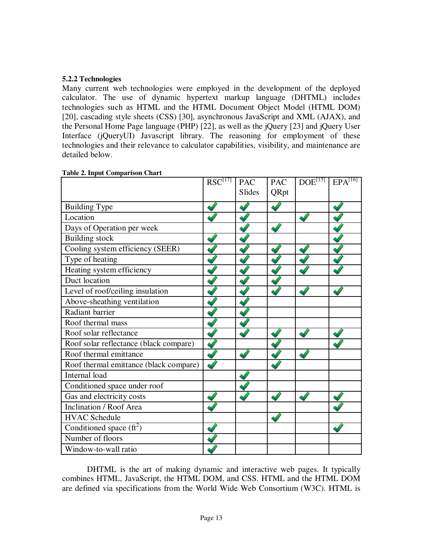# **5.2.2 Technologies**

Many current web technologies were employed in the development of the deployed calculator. The use of dynamic hypertext markup language (DHTML) includes technologies such as HTML and the HTML Document Object Model (HTML DOM) [20], cascading style sheets (CSS) [30], asynchronous JavaScript and XML (AJAX), and the Personal Home Page language (PHP) [22], as well as the jQuery [23] and jQuery User Interface (jQueryUI) Javascript library. The reasoning for employment of these technologies and their relevance to calculator capabilities, visibility, and maintenance are detailed below.

|                                        | $RSC^{[17]}$ | <b>PAC</b>    | <b>PAC</b> | DOE <sup>[15]</sup> | $EPA^{[16]}$ |
|----------------------------------------|--------------|---------------|------------|---------------------|--------------|
|                                        |              | <b>Slides</b> | QRpt       |                     |              |
| <b>Building Type</b>                   |              |               |            |                     |              |
| Location                               |              |               |            |                     |              |
| Days of Operation per week             |              |               |            |                     |              |
| <b>Building stock</b>                  |              |               |            |                     |              |
| Cooling system efficiency (SEER)       |              |               |            |                     |              |
| Type of heating                        |              |               |            |                     |              |
| Heating system efficiency              |              |               |            |                     |              |
| Duct location                          |              |               |            |                     |              |
| Level of roof/ceiling insulation       |              |               |            |                     |              |
| Above-sheathing ventilation            |              |               |            |                     |              |
| Radiant barrier                        |              |               |            |                     |              |
| Roof thermal mass                      |              |               |            |                     |              |
| Roof solar reflectance                 |              |               |            |                     |              |
| Roof solar reflectance (black compare) |              |               |            |                     |              |
| Roof thermal emittance                 |              |               |            |                     |              |
| Roof thermal emittance (black compare) |              |               |            |                     |              |
| Internal load                          |              |               |            |                     |              |
| Conditioned space under roof           |              |               |            |                     |              |
| Gas and electricity costs              |              |               |            |                     |              |
| Inclination / Roof Area                |              |               |            |                     |              |
| <b>HVAC Schedule</b>                   |              |               |            |                     |              |
| Conditioned space $(ft^2)$             |              |               |            |                     |              |
| Number of floors                       |              |               |            |                     |              |
| Window-to-wall ratio                   |              |               |            |                     |              |

## **Table 2. Input Comparison Chart**

DHTML is the art of making dynamic and interactive web pages. It typically combines HTML, JavaScript, the HTML DOM, and CSS. HTML and the HTML DOM are defined via specifications from the World Wide Web Consortium (W3C). HTML is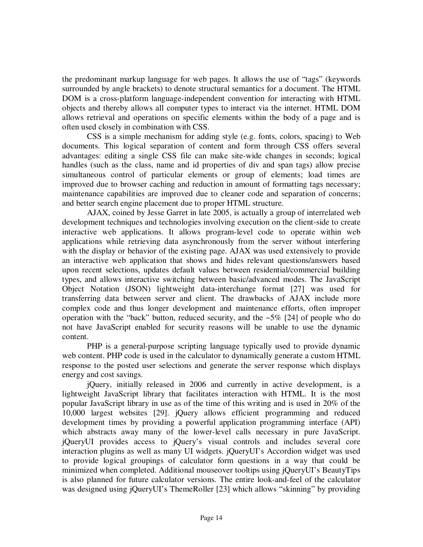the predominant markup language for web pages. It allows the use of "tags" (keywords surrounded by angle brackets) to denote structural semantics for a document. The HTML DOM is a cross-platform language-independent convention for interacting with HTML objects and thereby allows all computer types to interact via the internet. HTML DOM allows retrieval and operations on specific elements within the body of a page and is often used closely in combination with CSS.

CSS is a simple mechanism for adding style (e.g. fonts, colors, spacing) to Web documents. This logical separation of content and form through CSS offers several advantages: editing a single CSS file can make site-wide changes in seconds; logical handles (such as the class, name and id properties of div and span tags) allow precise simultaneous control of particular elements or group of elements; load times are improved due to browser caching and reduction in amount of formatting tags necessary; maintenance capabilities are improved due to cleaner code and separation of concerns; and better search engine placement due to proper HTML structure.

AJAX, coined by Jesse Garret in late 2005, is actually a group of interrelated web development techniques and technologies involving execution on the client-side to create interactive web applications. It allows program-level code to operate within web applications while retrieving data asynchronously from the server without interfering with the display or behavior of the existing page. AJAX was used extensively to provide an interactive web application that shows and hides relevant questions/answers based upon recent selections, updates default values between residential/commercial building types, and allows interactive switching between basic/advanced modes. The JavaScript Object Notation (JSON) lightweight data-interchange format [27] was used for transferring data between server and client. The drawbacks of AJAX include more complex code and thus longer development and maintenance efforts, often improper operation with the "back" button, reduced security, and the  $\sim$ 5% [24] of people who do not have JavaScript enabled for security reasons will be unable to use the dynamic content.

PHP is a general-purpose scripting language typically used to provide dynamic web content. PHP code is used in the calculator to dynamically generate a custom HTML response to the posted user selections and generate the server response which displays energy and cost savings.

jQuery, initially released in 2006 and currently in active development, is a lightweight JavaScript library that facilitates interaction with HTML. It is the most popular JavaScript library in use as of the time of this writing and is used in 20% of the 10,000 largest websites [29]. jQuery allows efficient programming and reduced development times by providing a powerful application programming interface (API) which abstracts away many of the lower-level calls necessary in pure JavaScript. jQueryUI provides access to jQuery's visual controls and includes several core interaction plugins as well as many UI widgets. jQueryUI's Accordion widget was used to provide logical groupings of calculator form questions in a way that could be minimized when completed. Additional mouseover tooltips using jQueryUI's BeautyTips is also planned for future calculator versions. The entire look-and-feel of the calculator was designed using jQueryUI's ThemeRoller [23] which allows "skinning" by providing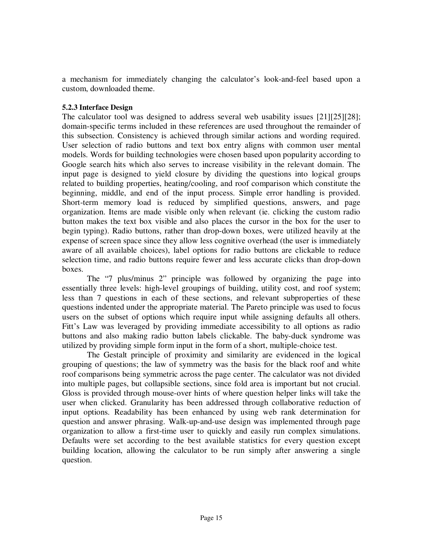a mechanism for immediately changing the calculator's look-and-feel based upon a custom, downloaded theme.

## **5.2.3 Interface Design**

The calculator tool was designed to address several web usability issues [21][25][28]; domain-specific terms included in these references are used throughout the remainder of this subsection. Consistency is achieved through similar actions and wording required. User selection of radio buttons and text box entry aligns with common user mental models. Words for building technologies were chosen based upon popularity according to Google search hits which also serves to increase visibility in the relevant domain. The input page is designed to yield closure by dividing the questions into logical groups related to building properties, heating/cooling, and roof comparison which constitute the beginning, middle, and end of the input process. Simple error handling is provided. Short-term memory load is reduced by simplified questions, answers, and page organization. Items are made visible only when relevant (ie. clicking the custom radio button makes the text box visible and also places the cursor in the box for the user to begin typing). Radio buttons, rather than drop-down boxes, were utilized heavily at the expense of screen space since they allow less cognitive overhead (the user is immediately aware of all available choices), label options for radio buttons are clickable to reduce selection time, and radio buttons require fewer and less accurate clicks than drop-down boxes.

The "7 plus/minus 2" principle was followed by organizing the page into essentially three levels: high-level groupings of building, utility cost, and roof system; less than 7 questions in each of these sections, and relevant subproperties of these questions indented under the appropriate material. The Pareto principle was used to focus users on the subset of options which require input while assigning defaults all others. Fitt's Law was leveraged by providing immediate accessibility to all options as radio buttons and also making radio button labels clickable. The baby-duck syndrome was utilized by providing simple form input in the form of a short, multiple-choice test.

The Gestalt principle of proximity and similarity are evidenced in the logical grouping of questions; the law of symmetry was the basis for the black roof and white roof comparisons being symmetric across the page center. The calculator was not divided into multiple pages, but collapsible sections, since fold area is important but not crucial. Gloss is provided through mouse-over hints of where question helper links will take the user when clicked. Granularity has been addressed through collaborative reduction of input options. Readability has been enhanced by using web rank determination for question and answer phrasing. Walk-up-and-use design was implemented through page organization to allow a first-time user to quickly and easily run complex simulations. Defaults were set according to the best available statistics for every question except building location, allowing the calculator to be run simply after answering a single question.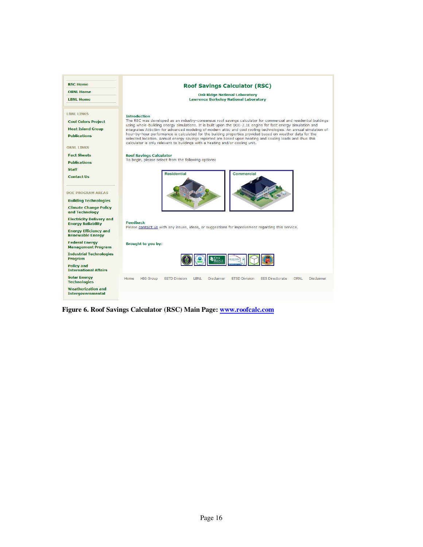

**Figure 6. Roof Savings Calculator (RSC) Main Page: www.roofcalc.com**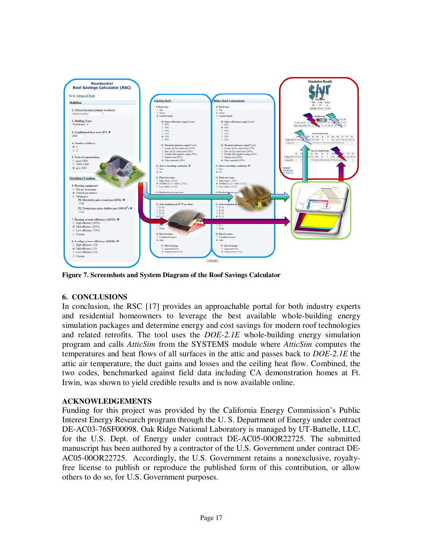

**Figure 7. Screenshots and System Diagram of the Roof Savings Calculator** 

# **6. CONCLUSIONS**

In conclusion, the RSC [17] provides an approachable portal for both industry experts and residential homeowners to leverage the best available whole-building energy simulation packages and determine energy and cost savings for modern roof technologies and related retrofits. The tool uses the *DOE-2.1E* whole-building energy simulation program and calls *AtticSim* from the SYSTEMS module where *AtticSim* computes the temperatures and heat flows of all surfaces in the attic and passes back to *DOE-2.1E* the attic air temperature, the duct gains and losses and the ceiling heat flow. Combined, the two codes, benchmarked against field data including CA demonstration homes at Ft. Irwin, was shown to yield credible results and is now available online.

# **ACKNOWLEDGEMENTS**

Funding for this project was provided by the California Energy Commission's Public Interest Energy Research program through the U. S. Department of Energy under contract DE-AC03-76SF00098. Oak Ridge National Laboratory is managed by UT-Battelle, LLC, for the U.S. Dept. of Energy under contract DE-AC05-00OR22725. The submitted manuscript has been authored by a contractor of the U.S. Government under contract DE-AC05-00OR22725. Accordingly, the U.S. Government retains a nonexclusive, royaltyfree license to publish or reproduce the published form of this contribution, or allow others to do so, for U.S. Government purposes.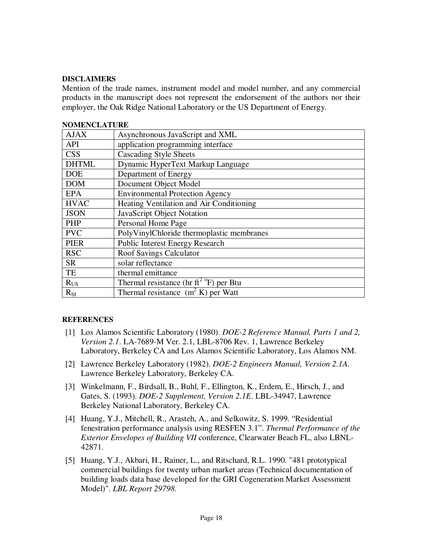## **DISCLAIMERS**

Mention of the trade names, instrument model and model number, and any commercial products in the manuscript does not represent the endorsement of the authors nor their employer, the Oak Ridge National Laboratory or the US Department of Energy.

|              | INVIVIEINULA I UINE                                          |  |  |
|--------------|--------------------------------------------------------------|--|--|
| <b>AJAX</b>  | Asynchronous JavaScript and XML                              |  |  |
| <b>API</b>   | application programming interface                            |  |  |
| <b>CSS</b>   | <b>Cascading Style Sheets</b>                                |  |  |
| <b>DHTML</b> | Dynamic HyperText Markup Language                            |  |  |
| <b>DOE</b>   | Department of Energy                                         |  |  |
| <b>DOM</b>   | Document Object Model                                        |  |  |
| <b>EPA</b>   | <b>Environmental Protection Agency</b>                       |  |  |
| <b>HVAC</b>  | Heating Ventilation and Air Conditioning                     |  |  |
| <b>JSON</b>  | JavaScript Object Notation                                   |  |  |
| PHP          | Personal Home Page                                           |  |  |
| <b>PVC</b>   | PolyVinylChloride thermoplastic membranes                    |  |  |
| <b>PIER</b>  | <b>Public Interest Energy Research</b>                       |  |  |
| <b>RSC</b>   | <b>Roof Savings Calculator</b>                               |  |  |
| <b>SR</b>    | solar reflectance                                            |  |  |
| TE           | thermal emittance                                            |  |  |
| $R_{US}$     | Thermal resistance (hr ft <sup>2</sup> $^{\circ}$ F) per Btu |  |  |
| $R_{SI}$     | Thermal resistance $(m^2 K)$ per Watt                        |  |  |

# **NOMENCLATURE**

# **REFERENCES**

- [1] Los Alamos Scientific Laboratory (1980). *DOE-2 Reference Manual, Parts 1 and 2, Version 2.1*. LA-7689-M Ver. 2.1, LBL-8706 Rev. 1, Lawrence Berkeley Laboratory, Berkeley CA and Los Alamos Scientific Laboratory, Los Alamos NM.
- [2] Lawrence Berkeley Laboratory (1982). *DOE-2 Engineers Manual, Version 2.1A.* Lawrence Berkeley Laboratory, Berkeley CA.
- [3] Winkelmann, F., Birdsall, B., Buhl, F., Ellington, K., Erdem, E., Hirsch, J., and Gates, S. (1993). *DOE-2 Supplement, Version 2.1E*. LBL-34947, Lawrence Berkeley National Laboratory, Berkeley CA.
- [4] Huang, Y.J., Mitchell, R., Arasteh, A., and Selkowitz, S. 1999. "Residential fenestration performance analysis using RESFEN 3.1". *Thermal Performance of the Exterior Envelopes of Building VII* conference, Clearwater Beach FL, also LBNL-42871.
- [5] Huang, Y.J., Akbari, H., Rainer, L., and Ritschard, R.L. 1990. "481 prototypical commercial buildings for twenty urban market areas (Technical documentation of building loads data base developed for the GRI Cogeneration Market Assessment Model)". *LBL Report 29798*.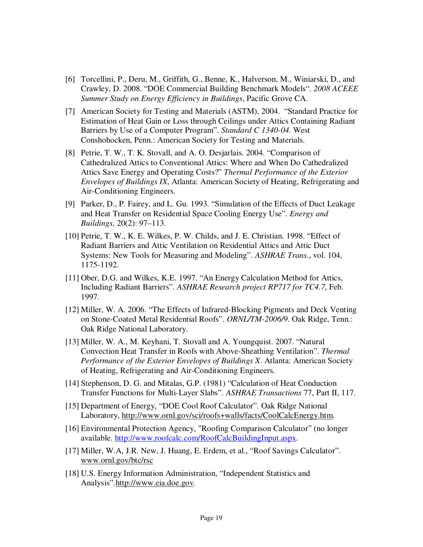- [6] Torcellini, P., Deru, M., Griffith, G., Benne, K., Halverson, M., Winiarski, D., and Crawley, D. 2008. "DOE Commercial Building Benchmark Models". *2008 ACEEE Summer Study on Energy Efficiency in Buildings*, Pacific Grove CA.
- [7] American Society for Testing and Materials (ASTM), 2004. "Standard Practice for Estimation of Heat Gain or Loss through Ceilings under Attics Containing Radiant Barriers by Use of a Computer Program". *Standard C 1340-04*. West Conshohocken, Penn.: American Society for Testing and Materials.
- [8] Petrie, T. W., T. K. Stovall, and A. O. Desjarlais. 2004. "Comparison of Cathedralized Attics to Conventional Attics: Where and When Do Cathedralized Attics Save Energy and Operating Costs?" *Thermal Performance of the Exterior Envelopes of Buildings IX*, Atlanta: American Society of Heating, Refrigerating and Air-Conditioning Engineers.
- [9] Parker, D., P. Fairey, and L. Gu. 1993. "Simulation of the Effects of Duct Leakage and Heat Transfer on Residential Space Cooling Energy Use". *Energy and Buildings*, 20(2): 97–113.
- [10] Petrie, T. W., K. E. Wilkes, P. W. Childs, and J. E. Christian. 1998. "Effect of Radiant Barriers and Attic Ventilation on Residential Attics and Attic Duct Systems: New Tools for Measuring and Modeling". *ASHRAE Trans*., vol. 104, 1175-1192.
- [11] Ober, D.G. and Wilkes, K.E. 1997. "An Energy Calculation Method for Attics, Including Radiant Barriers". *ASHRAE Research project RP717 for TC4.7*, Feb. 1997.
- [12] Miller, W. A. 2006. "The Effects of Infrared-Blocking Pigments and Deck Venting on Stone-Coated Metal Residential Roofs". *ORNL/TM-2006/9*. Oak Ridge, Tenn.: Oak Ridge National Laboratory.
- [13] Miller, W. A., M. Keyhani, T. Stovall and A. Youngquist. 2007. "Natural Convection Heat Transfer in Roofs with Above-Sheathing Ventilation". *Thermal Performance of the Exterior Envelopes of Buildings X*. Atlanta: American Society of Heating, Refrigerating and Air-Conditioning Engineers.
- [14] Stephenson, D. G. and Mitalas, G.P. (1981) "Calculation of Heat Conduction Transfer Functions for Multi-Layer Slabs". *ASHRAE Transactions* 77, Part II, 117.
- [15] Department of Energy, "DOE Cool Roof Calculator". Oak Ridge National Laboratory, http://www.ornl.gov/sci/roofs+walls/facts/CoolCalcEnergy.htm.
- [16] Environmental Protection Agency, "Roofing Comparison Calculator" (no longer available. http://www.roofcalc.com/RoofCalcBuildingInput.aspx.
- [17] Miller, W.A, J.R. New, J. Huang, E. Erdem, et al., "Roof Savings Calculator". www.ornl.gov/btc/rsc
- [18] U.S. Energy Information Administration, "Independent Statistics and Analysis".http://www.eia.doe.gov.